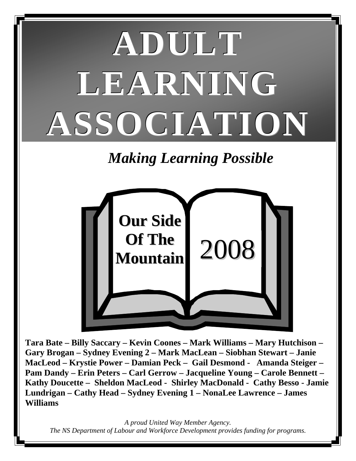# **ADULT LEARNING ASSOCIATION**

# *Making Learning Possible*



**Tara Bate – Billy Saccary – Kevin Coones – Mark Williams – Mary Hutchison – Gary Brogan – Sydney Evening 2 – Mark MacLean – Siobhan Stewart – Janie MacLeod – Krystie Power – Damian Peck – Gail Desmond - Amanda Steiger – Pam Dandy – Erin Peters – Carl Gerrow – Jacqueline Young – Carole Bennett – Kathy Doucette – Sheldon MacLeod - Shirley MacDonald - Cathy Besso - Jamie Lundrigan – Cathy Head – Sydney Evening 1 – NonaLee Lawrence – James Williams** 

*A proud United Way Member Agency. The NS Department of Labour and Workforce Development provides funding for programs.*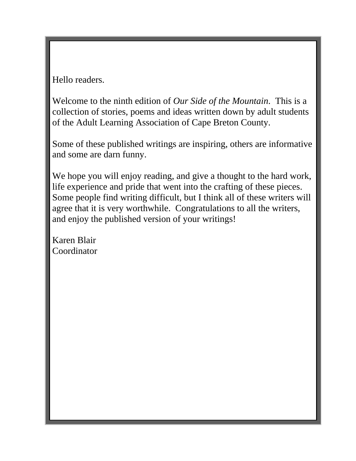Hello readers.

Welcome to the ninth edition of *Our Side of the Mountain*. This is a collection of stories, poems and ideas written down by adult students of the Adult Learning Association of Cape Breton County.

Some of these published writings are inspiring, others are informative and some are darn funny.

We hope you will enjoy reading, and give a thought to the hard work, life experience and pride that went into the crafting of these pieces. Some people find writing difficult, but I think all of these writers will agree that it is very worthwhile. Congratulations to all the writers, and enjoy the published version of your writings!

Karen Blair Coordinator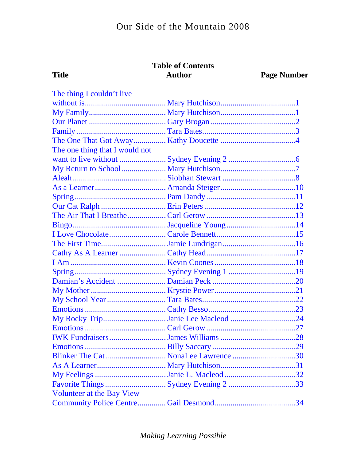#### **Table of Contents Author**

**Title** 

**Page Number** 

| The thing I couldn't live      |  |
|--------------------------------|--|
|                                |  |
|                                |  |
|                                |  |
|                                |  |
|                                |  |
| The one thing that I would not |  |
|                                |  |
|                                |  |
|                                |  |
|                                |  |
|                                |  |
|                                |  |
|                                |  |
|                                |  |
|                                |  |
|                                |  |
|                                |  |
|                                |  |
|                                |  |
|                                |  |
|                                |  |
|                                |  |
|                                |  |
|                                |  |
|                                |  |
|                                |  |
|                                |  |
|                                |  |
|                                |  |
|                                |  |
|                                |  |
| Volunteer at the Bay View      |  |
|                                |  |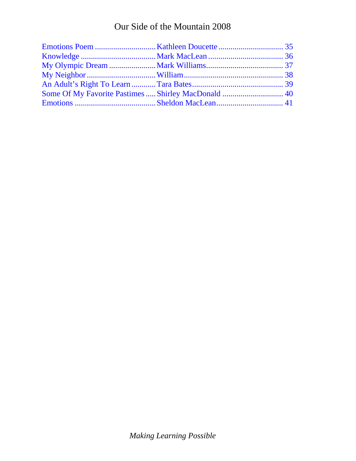# Our Side of the Mountain 2008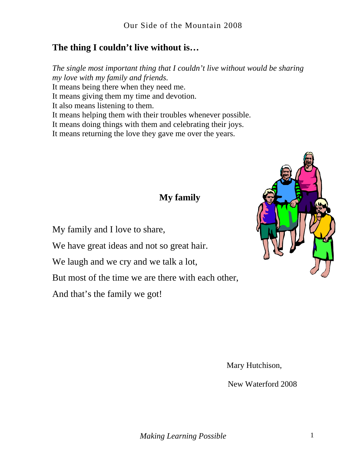#### <span id="page-4-0"></span>**The thing I couldn't live without is…**

*The single most important thing that I couldn't live without would be sharing my love with my family and friends.*  It means being there when they need me. It means giving them my time and devotion. It also means listening to them. It means helping them with their troubles whenever possible. It means doing things with them and celebrating their joys. It means returning the love they gave me over the years.

# **My family**

My family and I love to share,

We have great ideas and not so great hair.

We laugh and we cry and we talk a lot,

But most of the time we are there with each other,

And that's the family we got!



Mary Hutchison,

New Waterford 2008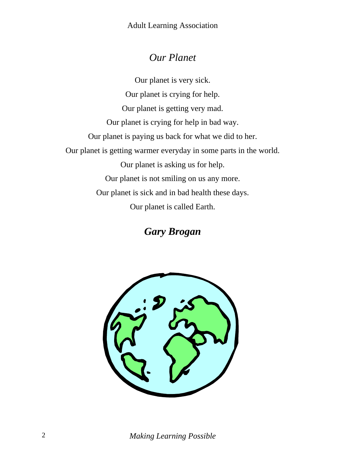# *Our Planet*

<span id="page-5-0"></span>Our planet is very sick. Our planet is crying for help. Our planet is getting very mad. Our planet is crying for help in bad way. Our planet is paying us back for what we did to her. Our planet is getting warmer everyday in some parts in the world. Our planet is asking us for help. Our planet is not smiling on us any more. Our planet is sick and in bad health these days. Our planet is called Earth.

# *Gary Brogan*



2 *Making Learning Possible*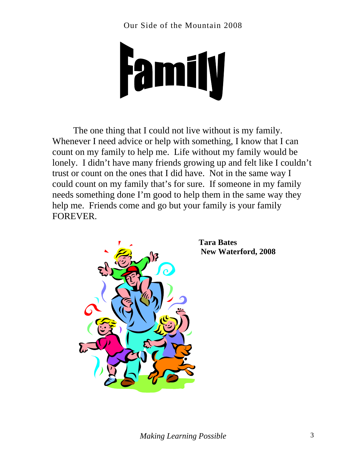<span id="page-6-0"></span>

The one thing that I could not live without is my family. Whenever I need advice or help with something, I know that I can count on my family to help me. Life without my family would be lonely. I didn't have many friends growing up and felt like I couldn't trust or count on the ones that I did have. Not in the same way I could count on my family that's for sure. If someone in my family needs something done I'm good to help them in the same way they help me. Friends come and go but your family is your family FOREVER.



**Tara Bates New Waterford, 2008**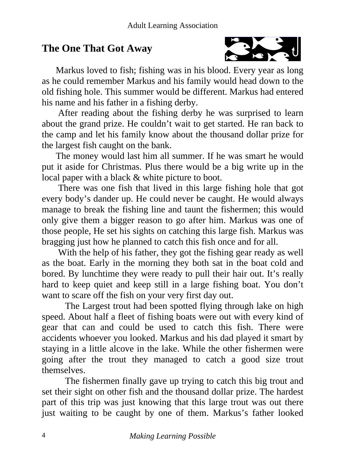# <span id="page-7-0"></span>**The One That Got Away**



 Markus loved to fish; fishing was in his blood. Every year as long as he could remember Markus and his family would head down to the old fishing hole. This summer would be different. Markus had entered his name and his father in a fishing derby.

 After reading about the fishing derby he was surprised to learn about the grand prize. He couldn't wait to get started. He ran back to the camp and let his family know about the thousand dollar prize for the largest fish caught on the bank.

 The money would last him all summer. If he was smart he would put it aside for Christmas. Plus there would be a big write up in the local paper with a black & white picture to boot.

 There was one fish that lived in this large fishing hole that got every body's dander up. He could never be caught. He would always manage to break the fishing line and taunt the fishermen; this would only give them a bigger reason to go after him. Markus was one of those people, He set his sights on catching this large fish. Markus was bragging just how he planned to catch this fish once and for all.

 With the help of his father, they got the fishing gear ready as well as the boat. Early in the morning they both sat in the boat cold and bored. By lunchtime they were ready to pull their hair out. It's really hard to keep quiet and keep still in a large fishing boat. You don't want to scare off the fish on your very first day out.

 The Largest trout had been spotted flying through lake on high speed. About half a fleet of fishing boats were out with every kind of gear that can and could be used to catch this fish. There were accidents whoever you looked. Markus and his dad played it smart by staying in a little alcove in the lake. While the other fishermen were going after the trout they managed to catch a good size trout themselves.

 The fishermen finally gave up trying to catch this big trout and set their sight on other fish and the thousand dollar prize. The hardest part of this trip was just knowing that this large trout was out there just waiting to be caught by one of them. Markus's father looked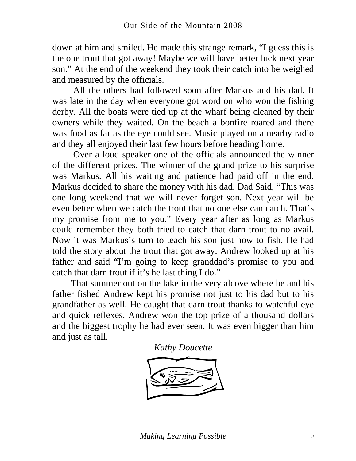down at him and smiled. He made this strange remark, "I guess this is the one trout that got away! Maybe we will have better luck next year son." At the end of the weekend they took their catch into be weighed and measured by the officials.

 All the others had followed soon after Markus and his dad. It was late in the day when everyone got word on who won the fishing derby. All the boats were tied up at the wharf being cleaned by their owners while they waited. On the beach a bonfire roared and there was food as far as the eye could see. Music played on a nearby radio and they all enjoyed their last few hours before heading home.

 Over a loud speaker one of the officials announced the winner of the different prizes. The winner of the grand prize to his surprise was Markus. All his waiting and patience had paid off in the end. Markus decided to share the money with his dad. Dad Said, "This was one long weekend that we will never forget son. Next year will be even better when we catch the trout that no one else can catch. That's my promise from me to you." Every year after as long as Markus could remember they both tried to catch that darn trout to no avail. Now it was Markus's turn to teach his son just how to fish. He had told the story about the trout that got away. Andrew looked up at his father and said "I'm going to keep granddad's promise to you and catch that darn trout if it's he last thing I do."

 That summer out on the lake in the very alcove where he and his father fished Andrew kept his promise not just to his dad but to his grandfather as well. He caught that darn trout thanks to watchful eye and quick reflexes. Andrew won the top prize of a thousand dollars and the biggest trophy he had ever seen. It was even bigger than him and just as tall.

*Kathy Doucette* 

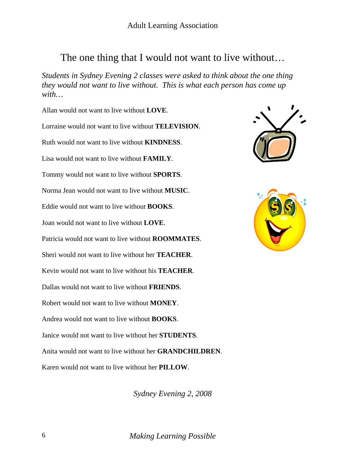# <span id="page-9-0"></span>The one thing that I would not want to live without...

*Students in Sydney Evening 2 classes were asked to think about the one thing they would not want to live without. This is what each person has come up with…* 

Allan would not want to live without **LOVE**. Lorraine would not want to live without **TELEVISION**. Ruth would not want to live without **KINDNESS**. Lisa would not want to live without **FAMILY**. Tommy would not want to live without **SPORTS**. Norma Jean would not want to live without **MUSIC**. Eddie would not want to live without **BOOKS**. Joan would not want to live without **LOVE**. Patricia would not want to live without **ROOMMATES**. Sheri would not want to live without her **TEACHER**. Kevin would not want to live without his **TEACHER**. Dallas would not want to live without **FRIENDS**. Robert would not want to live without **MONEY**. Andrea would not want to live without **BOOKS**. Janice would not want to live without her **STUDENTS**. Anita would not want to live without her **GRANDCHILDREN**. Karen would not want to live without her **PILLOW**.

*Sydney Evening 2, 2008* 





6 *Making Learning Possible*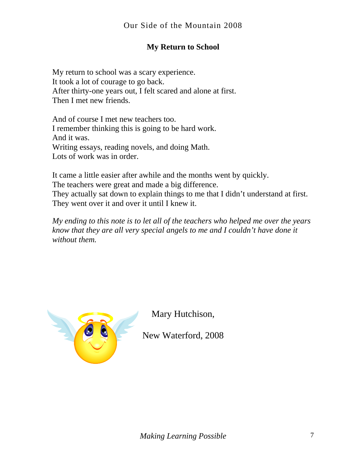#### **My Return to School**

<span id="page-10-0"></span>My return to school was a scary experience. It took a lot of courage to go back. After thirty-one years out, I felt scared and alone at first. Then I met new friends.

And of course I met new teachers too. I remember thinking this is going to be hard work. And it was. Writing essays, reading novels, and doing Math. Lots of work was in order.

It came a little easier after awhile and the months went by quickly. The teachers were great and made a big difference. They actually sat down to explain things to me that I didn't understand at first. They went over it and over it until I knew it.

*My ending to this note is to let all of the teachers who helped me over the years know that they are all very special angels to me and I couldn't have done it without them.* 



Mary Hutchison,

New Waterford, 2008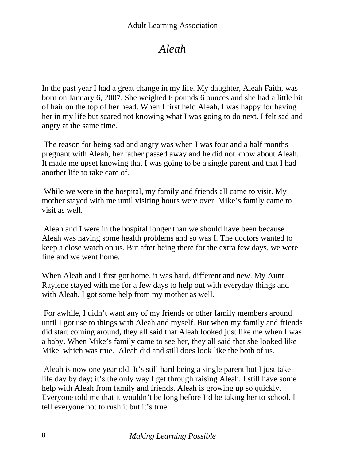# *Aleah*

<span id="page-11-0"></span>In the past year I had a great change in my life. My daughter, Aleah Faith, was born on January 6, 2007. She weighed 6 pounds 6 ounces and she had a little bit of hair on the top of her head. When I first held Aleah, I was happy for having her in my life but scared not knowing what I was going to do next. I felt sad and angry at the same time.

 The reason for being sad and angry was when I was four and a half months pregnant with Aleah, her father passed away and he did not know about Aleah. It made me upset knowing that I was going to be a single parent and that I had another life to take care of.

While we were in the hospital, my family and friends all came to visit. My mother stayed with me until visiting hours were over. Mike's family came to visit as well.

 Aleah and I were in the hospital longer than we should have been because Aleah was having some health problems and so was I. The doctors wanted to keep a close watch on us. But after being there for the extra few days, we were fine and we went home.

When Aleah and I first got home, it was hard, different and new. My Aunt Raylene stayed with me for a few days to help out with everyday things and with Aleah. I got some help from my mother as well.

 For awhile, I didn't want any of my friends or other family members around until I got use to things with Aleah and myself. But when my family and friends did start coming around, they all said that Aleah looked just like me when I was a baby. When Mike's family came to see her, they all said that she looked like Mike, which was true. Aleah did and still does look like the both of us.

 Aleah is now one year old. It's still hard being a single parent but I just take life day by day; it's the only way I get through raising Aleah. I still have some help with Aleah from family and friends. Aleah is growing up so quickly. Everyone told me that it wouldn't be long before I'd be taking her to school. I tell everyone not to rush it but it's true.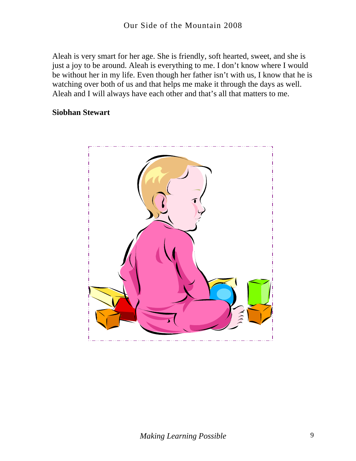Aleah is very smart for her age. She is friendly, soft hearted, sweet, and she is just a joy to be around. Aleah is everything to me. I don't know where I would be without her in my life. Even though her father isn't with us, I know that he is watching over both of us and that helps me make it through the days as well. Aleah and I will always have each other and that's all that matters to me.

#### **Siobhan Stewart**

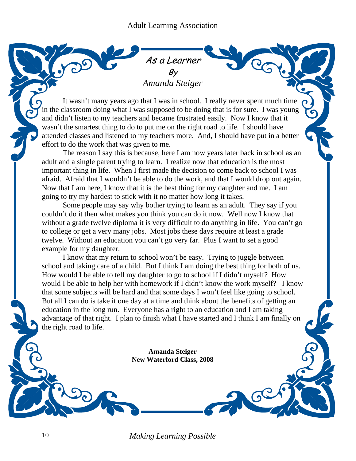#### As a Learner By *Amanda Steiger*

<span id="page-13-0"></span>It wasn't many years ago that I was in school. I really never spent much time in the classroom doing what I was supposed to be doing that is for sure. I was young and didn't listen to my teachers and became frustrated easily. Now I know that it wasn't the smartest thing to do to put me on the right road to life. I should have attended classes and listened to my teachers more. And, I should have put in a better effort to do the work that was given to me.

The reason I say this is because, here I am now years later back in school as an adult and a single parent trying to learn. I realize now that education is the most important thing in life. When I first made the decision to come back to school I was afraid. Afraid that I wouldn't be able to do the work, and that I would drop out again. Now that I am here, I know that it is the best thing for my daughter and me. I am going to try my hardest to stick with it no matter how long it takes.

Some people may say why bother trying to learn as an adult. They say if you couldn't do it then what makes you think you can do it now. Well now I know that without a grade twelve diploma it is very difficult to do anything in life. You can't go to college or get a very many jobs. Most jobs these days require at least a grade twelve. Without an education you can't go very far. Plus I want to set a good example for my daughter.

I know that my return to school won't be easy. Trying to juggle between school and taking care of a child. But I think I am doing the best thing for both of us. How would I be able to tell my daughter to go to school if I didn't myself? How would I be able to help her with homework if I didn't know the work myself? I know that some subjects will be hard and that some days I won't feel like going to school. But all I can do is take it one day at a time and think about the benefits of getting an education in the long run. Everyone has a right to an education and I am taking advantage of that right. I plan to finish what I have started and I think I am finally on the right road to life.

> **Amanda Steiger New Waterford Class, 2008**

10 *Making Learning Possible* 

ś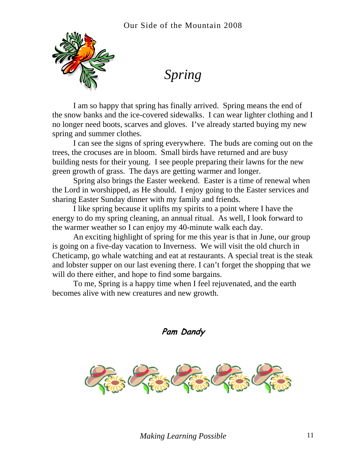<span id="page-14-0"></span>

*Spring* 

I am so happy that spring has finally arrived. Spring means the end of the snow banks and the ice-covered sidewalks. I can wear lighter clothing and I no longer need boots, scarves and gloves. I've already started buying my new spring and summer clothes.

I can see the signs of spring everywhere. The buds are coming out on the trees, the crocuses are in bloom. Small birds have returned and are busy building nests for their young. I see people preparing their lawns for the new green growth of grass. The days are getting warmer and longer.

Spring also brings the Easter weekend. Easter is a time of renewal when the Lord in worshipped, as He should. I enjoy going to the Easter services and sharing Easter Sunday dinner with my family and friends*.* 

I like spring because it uplifts my spirits to a point where I have the energy to do my spring cleaning, an annual ritual. As well, I look forward to the warmer weather so I can enjoy my 40-minute walk each day.

An exciting highlight of spring for me this year is that in June, our group is going on a five-day vacation to Inverness. We will visit the old church in Cheticamp, go whale watching and eat at restaurants. A special treat is the steak and lobster supper on our last evening there. I can't forget the shopping that we will do there either, and hope to find some bargains.

To me, Spring is a happy time when I feel rejuvenated, and the earth becomes alive with new creatures and new growth.

**Pam Dandy** 

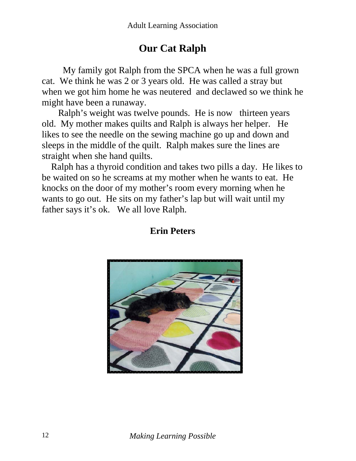# **Our Cat Ralph**

<span id="page-15-0"></span> My family got Ralph from the SPCA when he was a full grown cat. We think he was 2 or 3 years old. He was called a stray but when we got him home he was neutered and declawed so we think he might have been a runaway.

 Ralph's weight was twelve pounds. He is now thirteen years old. My mother makes quilts and Ralph is always her helper. He likes to see the needle on the sewing machine go up and down and sleeps in the middle of the quilt. Ralph makes sure the lines are straight when she hand quilts.

 Ralph has a thyroid condition and takes two pills a day. He likes to be waited on so he screams at my mother when he wants to eat. He knocks on the door of my mother's room every morning when he wants to go out. He sits on my father's lap but will wait until my father says it's ok. We all love Ralph.

#### **Erin Peters**

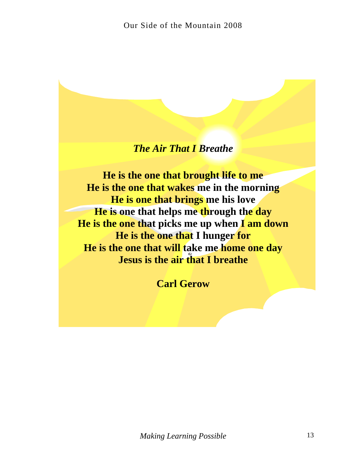#### *The Air That I Breathe*

<span id="page-16-0"></span>**He is the one that brought life to me He is the one that wakes me in the morning He is one that brings me his love He is one that helps me through the day He is the one that picks me up when I am down He is the one that I hunger for He is the one that will take me home one day Jesus is the air that I breathe** 

**Carl Gerow**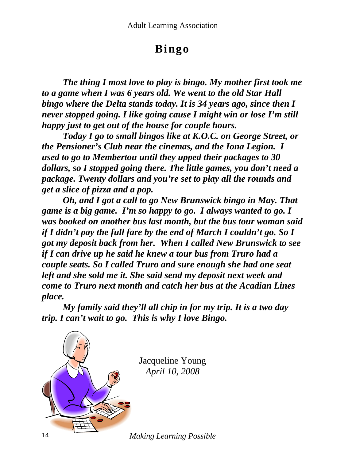# **Bingo**

<span id="page-17-0"></span>*The thing I most love to play is bingo. My mother first took me to a game when I was 6 years old. We went to the old Star Hall bingo where the Delta stands today. It is 34 years ago, since then I never stopped going. I like going cause I might win or lose I'm still happy just to get out of the house for couple hours.* 

*Today I go to small bingos like at K.O.C. on George Street, or the Pensioner's Club near the cinemas, and the Iona Legion. I used to go to Membertou until they upped their packages to 30 dollars, so I stopped going there. The little games, you don't need a package. Twenty dollars and you're set to play all the rounds and get a slice of pizza and a pop.* 

*Oh, and I got a call to go New Brunswick bingo in May. That game is a big game. I'm so happy to go. I always wanted to go. I was booked on another bus last month, but the bus tour woman said if I didn't pay the full fare by the end of March I couldn't go. So I got my deposit back from her. When I called New Brunswick to see if I can drive up he said he knew a tour bus from Truro had a couple seats. So I called Truro and sure enough she had one seat left and she sold me it. She said send my deposit next week and come to Truro next month and catch her bus at the Acadian Lines place.* 

*My family said they'll all chip in for my trip. It is a two day trip. I can't wait to go. This is why I love Bingo.*



14 *Making Learning Possible*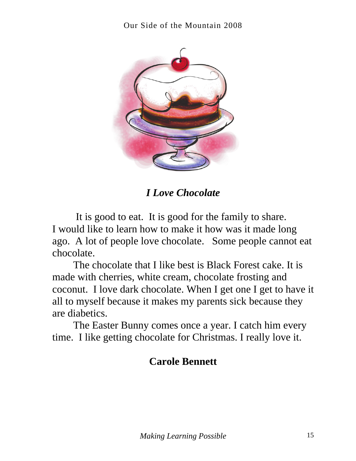<span id="page-18-0"></span>

*I Love Chocolate* 

 It is good to eat. It is good for the family to share. I would like to learn how to make it how was it made long ago. A lot of people love chocolate. Some people cannot eat chocolate.

The chocolate that I like best is Black Forest cake. It is made with cherries, white cream, chocolate frosting and coconut. I love dark chocolate. When I get one I get to have it all to myself because it makes my parents sick because they are diabetics.

The Easter Bunny comes once a year. I catch him every time. I like getting chocolate for Christmas. I really love it.

# **Carole Bennett**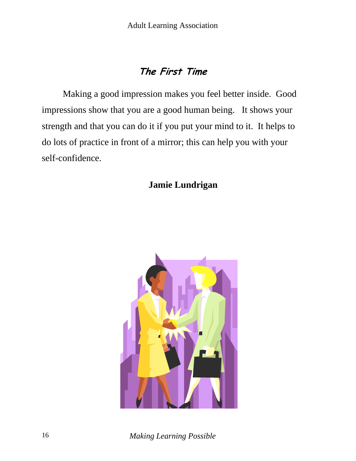# **The First Time**

<span id="page-19-0"></span>Making a good impression makes you feel better inside. Good impressions show that you are a good human being. It shows your strength and that you can do it if you put your mind to it. It helps to do lots of practice in front of a mirror; this can help you with your self-confidence.

**Jamie Lundrigan**

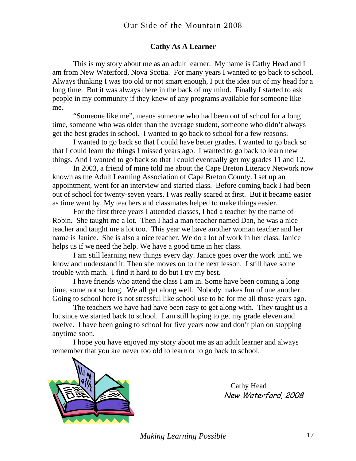#### **Cathy As A Learner**

<span id="page-20-0"></span>This is my story about me as an adult learner. My name is Cathy Head and I am from New Waterford, Nova Scotia. For many years I wanted to go back to school. Always thinking I was too old or not smart enough, I put the idea out of my head for a long time. But it was always there in the back of my mind. Finally I started to ask people in my community if they knew of any programs available for someone like me.

"Someone like me", means someone who had been out of school for a long time, someone who was older than the average student, someone who didn't always get the best grades in school. I wanted to go back to school for a few reasons.

I wanted to go back so that I could have better grades. I wanted to go back so that I could learn the things I missed years ago. I wanted to go back to learn new things. And I wanted to go back so that I could eventually get my grades 11 and 12.

In 2003, a friend of mine told me about the Cape Breton Literacy Network now known as the Adult Learning Association of Cape Breton County. I set up an appointment, went for an interview and started class. Before coming back I had been out of school for twenty-seven years. I was really scared at first. But it became easier as time went by. My teachers and classmates helped to make things easier.

For the first three years I attended classes, I had a teacher by the name of Robin. She taught me a lot. Then I had a man teacher named Dan, he was a nice teacher and taught me a lot too. This year we have another woman teacher and her name is Janice. She is also a nice teacher. We do a lot of work in her class. Janice helps us if we need the help. We have a good time in her class.

I am still learning new things every day. Janice goes over the work until we know and understand it. Then she moves on to the next lesson. I still have some trouble with math. I find it hard to do but I try my best.

I have friends who attend the class I am in. Some have been coming a long time, some not so long. We all get along well. Nobody makes fun of one another. Going to school here is not stressful like school use to be for me all those years ago.

The teachers we have had have been easy to get along with. They taught us a lot since we started back to school. I am still hoping to get my grade eleven and twelve. I have been going to school for five years now and don't plan on stopping anytime soon.

I hope you have enjoyed my story about me as an adult learner and always remember that you are never too old to learn or to go back to school.



 Cathy Head New Waterford, 2008

*Making Learning Possible* 17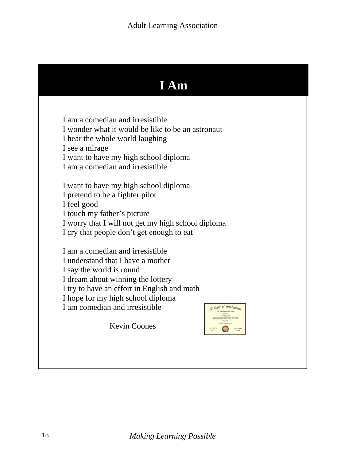# **I Am**

<span id="page-21-0"></span>I am a comedian and irresistible I wonder what it would be like to be an astronaut I hear the whole world laughing I see a mirage I want to have my high school diploma I am a comedian and irresistible

I want to have my high school diploma I pretend to be a fighter pilot I feel good I touch my father's picture I worry that I will not get my high school diploma I cry that people don't get enough to eat

I am a comedian and irresistible I understand that I have a mother I say the world is round I dream about winning the lottery I try to have an effort in English and math I hope for my high school diploma I am comedian and irresistible

ploma of Gradualion

Kevin Coones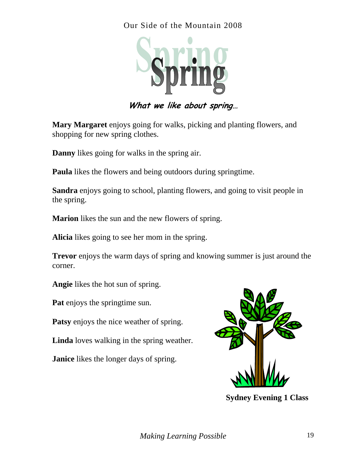#### <span id="page-22-0"></span>Our Side of the Mountain 2008



**What we like about spring…** 

**Mary Margaret** enjoys going for walks, picking and planting flowers, and shopping for new spring clothes.

**Danny** likes going for walks in the spring air.

**Paula** likes the flowers and being outdoors during springtime.

**Sandra** enjoys going to school, planting flowers, and going to visit people in the spring.

**Marion** likes the sun and the new flowers of spring.

**Alicia** likes going to see her mom in the spring.

**Trevor** enjoys the warm days of spring and knowing summer is just around the corner.

**Angie** likes the hot sun of spring.

**Pat** enjoys the springtime sun.

**Patsy** enjoys the nice weather of spring.

**Linda** loves walking in the spring weather.

**Janice** likes the longer days of spring.



**Sydney Evening 1 Class**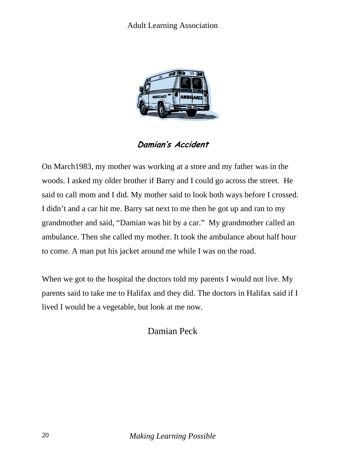<span id="page-23-0"></span>

#### **Damian's Accident**

On March1983, my mother was working at a store and my father was in the woods. I asked my older brother if Barry and I could go across the street. He said to call mom and I did. My mother said to look both ways before I crossed. I didn't and a car hit me. Barry sat next to me then he got up and ran to my grandmother and said, "Damian was hit by a car." My grandmother called an ambulance. Then she called my mother. It took the ambulance about half hour to come. A man put his jacket around me while I was on the road.

When we got to the hospital the doctors told my parents I would not live. My parents said to take me to Halifax and they did. The doctors in Halifax said if I lived I would be a vegetable, but look at me now.

#### Damian Peck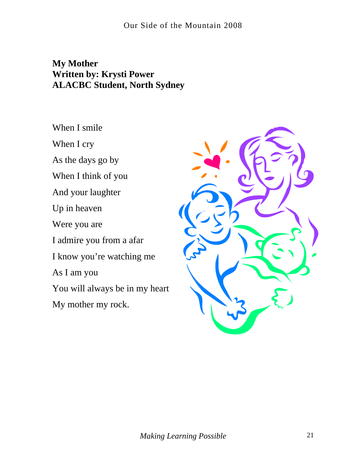#### <span id="page-24-0"></span>**My Mother Written by: Krysti Power ALACBC Student, North Sydney**

When I smile

When I cry

As the days go by

When I think of you

And your laughter

Up in heaven

Were you are

I admire you from a afar

I know you're watching me

As I am you

You will always be in my heart

My mother my rock.

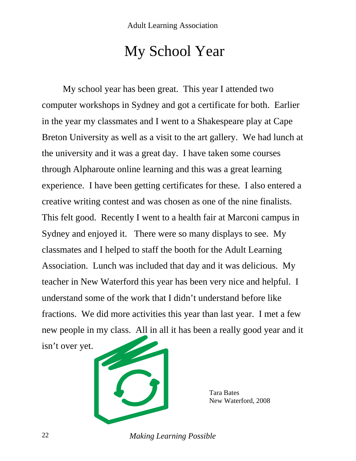# My School Year

<span id="page-25-0"></span>My school year has been great. This year I attended two computer workshops in Sydney and got a certificate for both. Earlier in the year my classmates and I went to a Shakespeare play at Cape Breton University as well as a visit to the art gallery. We had lunch at the university and it was a great day. I have taken some courses through Alpharoute online learning and this was a great learning experience. I have been getting certificates for these. I also entered a creative writing contest and was chosen as one of the nine finalists. This felt good. Recently I went to a health fair at Marconi campus in Sydney and enjoyed it. There were so many displays to see. My classmates and I helped to staff the booth for the Adult Learning Association. Lunch was included that day and it was delicious. My teacher in New Waterford this year has been very nice and helpful. I understand some of the work that I didn't understand before like fractions. We did more activities this year than last year. I met a few new people in my class. All in all it has been a really good year and it

isn't over yet.



 Tara Bates New Waterford, 2008

22 *Making Learning Possible*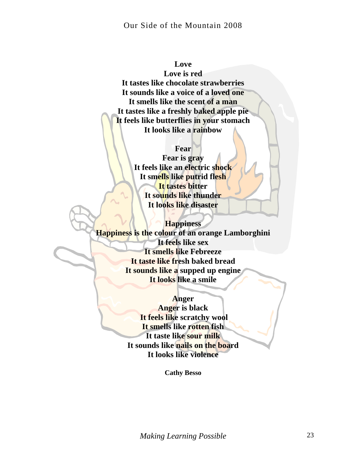#### Our Side of the Mountain 2008

#### **Love**

**Love is red It tastes like chocolate strawberries It sounds like a voice of a loved one It smells like the scent of a man It tastes like a freshly baked apple pie It feels like butterflies in your stomach It looks like a rainbow** 

#### **Fear**

**Fear is gray It feels like an electric shock It smells like putrid flesh It tastes bitter It sounds like thunder It looks like disaster** 

**Happiness Happiness is the colour of an orange Lamborghini It feels like sex It smells like Febreeze It taste like fresh baked bread It sounds like a supped up engine It looks like a smile** 

#### **Anger**

**Anger is black It feels like scratchy wool It smells like rotten fish It taste like sour milk It sounds like nails on the board It looks like violence** 

**Cathy Besso**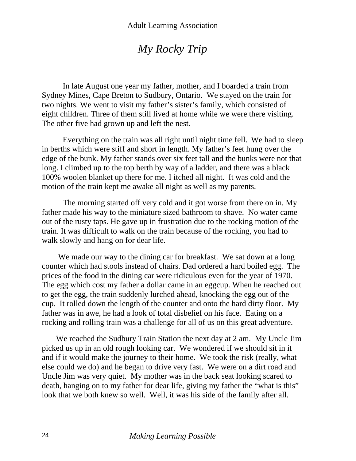# *My Rocky Trip*

<span id="page-27-0"></span>In late August one year my father, mother, and I boarded a train from Sydney Mines, Cape Breton to Sudbury, Ontario. We stayed on the train for two nights. We went to visit my father's sister's family, which consisted of eight children. Three of them still lived at home while we were there visiting. The other five had grown up and left the nest.

Everything on the train was all right until night time fell. We had to sleep in berths which were stiff and short in length. My father's feet hung over the edge of the bunk. My father stands over six feet tall and the bunks were not that long. I climbed up to the top berth by way of a ladder, and there was a black 100% woolen blanket up there for me. I itched all night. It was cold and the motion of the train kept me awake all night as well as my parents.

The morning started off very cold and it got worse from there on in. My father made his way to the miniature sized bathroom to shave. No water came out of the rusty taps. He gave up in frustration due to the rocking motion of the train. It was difficult to walk on the train because of the rocking, you had to walk slowly and hang on for dear life.

We made our way to the dining car for breakfast. We sat down at a long counter which had stools instead of chairs. Dad ordered a hard boiled egg. The prices of the food in the dining car were ridiculous even for the year of 1970. The egg which cost my father a dollar came in an eggcup. When he reached out to get the egg, the train suddenly lurched ahead, knocking the egg out of the cup. It rolled down the length of the counter and onto the hard dirty floor. My father was in awe, he had a look of total disbelief on his face. Eating on a rocking and rolling train was a challenge for all of us on this great adventure.

 We reached the Sudbury Train Station the next day at 2 am. My Uncle Jim picked us up in an old rough looking car. We wondered if we should sit in it and if it would make the journey to their home. We took the risk (really, what else could we do) and he began to drive very fast. We were on a dirt road and Uncle Jim was very quiet. My mother was in the back seat looking scared to death, hanging on to my father for dear life, giving my father the "what is this" look that we both knew so well. Well, it was his side of the family after all.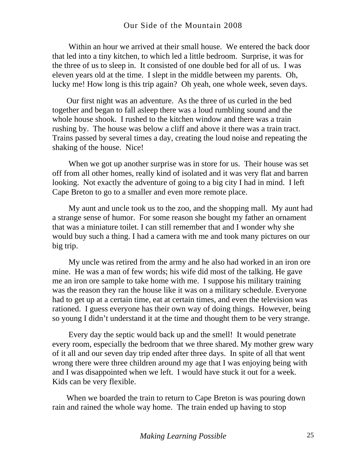Within an hour we arrived at their small house. We entered the back door that led into a tiny kitchen, to which led a little bedroom. Surprise, it was for the three of us to sleep in. It consisted of one double bed for all of us. I was eleven years old at the time. I slept in the middle between my parents. Oh, lucky me! How long is this trip again? Oh yeah, one whole week, seven days.

 Our first night was an adventure. As the three of us curled in the bed together and began to fall asleep there was a loud rumbling sound and the whole house shook. I rushed to the kitchen window and there was a train rushing by. The house was below a cliff and above it there was a train tract. Trains passed by several times a day, creating the loud noise and repeating the shaking of the house. Nice!

 When we got up another surprise was in store for us. Their house was set off from all other homes, really kind of isolated and it was very flat and barren looking. Not exactly the adventure of going to a big city I had in mind. I left Cape Breton to go to a smaller and even more remote place.

 My aunt and uncle took us to the zoo, and the shopping mall. My aunt had a strange sense of humor. For some reason she bought my father an ornament that was a miniature toilet. I can still remember that and I wonder why she would buy such a thing. I had a camera with me and took many pictures on our big trip.

 My uncle was retired from the army and he also had worked in an iron ore mine. He was a man of few words; his wife did most of the talking. He gave me an iron ore sample to take home with me. I suppose his military training was the reason they ran the house like it was on a military schedule. Everyone had to get up at a certain time, eat at certain times, and even the television was rationed. I guess everyone has their own way of doing things. However, being so young I didn't understand it at the time and thought them to be very strange.

 Every day the septic would back up and the smell! It would penetrate every room, especially the bedroom that we three shared. My mother grew wary of it all and our seven day trip ended after three days. In spite of all that went wrong there were three children around my age that I was enjoying being with and I was disappointed when we left. I would have stuck it out for a week. Kids can be very flexible.

 When we boarded the train to return to Cape Breton is was pouring down rain and rained the whole way home. The train ended up having to stop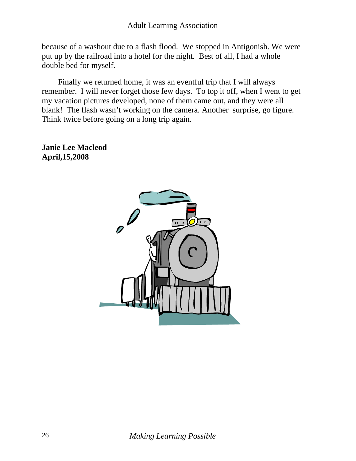because of a washout due to a flash flood. We stopped in Antigonish. We were put up by the railroad into a hotel for the night. Best of all, I had a whole double bed for myself.

 Finally we returned home, it was an eventful trip that I will always remember. I will never forget those few days. To top it off, when I went to get my vacation pictures developed, none of them came out, and they were all blank! The flash wasn't working on the camera. Another surprise, go figure. Think twice before going on a long trip again.

**Janie Lee Macleod April,15,2008**

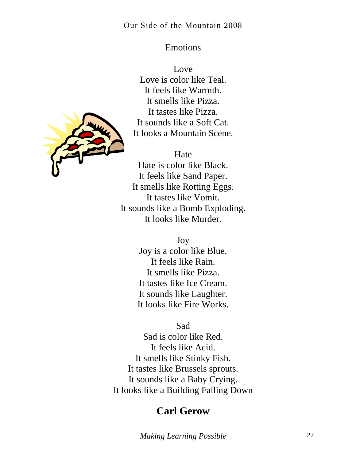#### Emotions

Love Love is color like Teal. It feels like Warmth. It smells like Pizza. It tastes like Pizza. It sounds like a Soft Cat. It looks a Mountain Scene.

#### Hate

Hate is color like Black. It feels like Sand Paper. It smells like Rotting Eggs. It tastes like Vomit. It sounds like a Bomb Exploding. It looks like Murder.

Joy

Joy is a color like Blue. It feels like Rain. It smells like Pizza. It tastes like Ice Cream. It sounds like Laughter. It looks like Fire Works.

Sad

Sad is color like Red. It feels like Acid. It smells like Stinky Fish. It tastes like Brussels sprouts. It sounds like a Baby Crying. It looks like a Building Falling Down

# **Carl Gerow**



<span id="page-30-0"></span>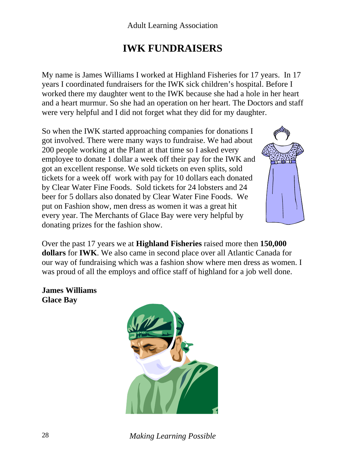# **IWK FUNDRAISERS**

<span id="page-31-0"></span>My name is James Williams I worked at Highland Fisheries for 17 years. In 17 years I coordinated fundraisers for the IWK sick children's hospital. Before I worked there my daughter went to the IWK because she had a hole in her heart and a heart murmur. So she had an operation on her heart. The Doctors and staff were very helpful and I did not forget what they did for my daughter.

So when the IWK started approaching companies for donations I got involved. There were many ways to fundraise. We had about 200 people working at the Plant at that time so I asked every employee to donate 1 dollar a week off their pay for the IWK and got an excellent response. We sold tickets on even splits, sold tickets for a week off work with pay for 10 dollars each donated by Clear Water Fine Foods. Sold tickets for 24 lobsters and 24 beer for 5 dollars also donated by Clear Water Fine Foods. We put on Fashion show, men dress as women it was a great hit every year. The Merchants of Glace Bay were very helpful by donating prizes for the fashion show.



Over the past 17 years we at **Highland Fisheries** raised more then **150,000 dollars** for **IWK**. We also came in second place over all Atlantic Canada for our way of fundraising which was a fashion show where men dress as women. I was proud of all the employs and office staff of highland for a job well done.

**James Williams Glace Bay**



28 *Making Learning Possible*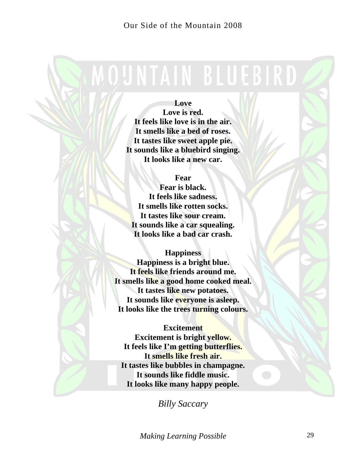# <span id="page-32-0"></span>**MOUNTAIN BLUEBIRD**

#### **Love**

**Love is red. It feels like love is in the air. It smells like a bed of roses. It tastes like sweet apple pie. It sounds like a bluebird singing. It looks like a new car.** 

#### **Fear**

**Fear is black. It feels like sadness. It smells like rotten socks. It tastes like sour cream. It sounds like a car squealing. It looks like a bad car crash.** 

**Happiness** 

**Happiness is a bright blue. It feels like friends around me. It smells like a good home cooked meal. It tastes like new potatoes. It sounds like everyone is asleep. It looks like the trees turning colours.** 

#### **Excitement**

**Excitement is bright yellow. It feels like I'm getting butterflies. It smells like fresh air. It tastes like bubbles in champagne. It sounds like fiddle music. It looks like many happy people.**

*Billy Saccary* 

*Making Learning Possible* 29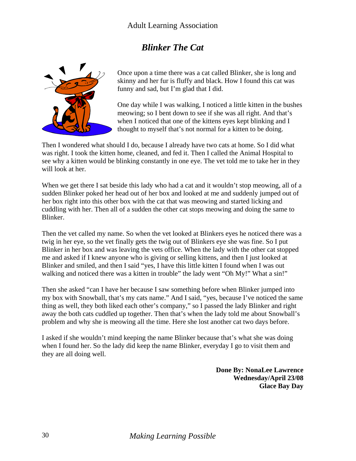#### Adult Learning Association

#### *Blinker The Cat*

<span id="page-33-0"></span>

Once upon a time there was a cat called Blinker, she is long and skinny and her fur is fluffy and black. How I found this cat was funny and sad, but I'm glad that I did.

One day while I was walking, I noticed a little kitten in the bushes meowing; so I bent down to see if she was all right. And that's when I noticed that one of the kittens eyes kept blinking and I thought to myself that's not normal for a kitten to be doing.

Then I wondered what should I do, because I already have two cats at home. So I did what was right. I took the kitten home, cleaned, and fed it. Then I called the Animal Hospital to see why a kitten would be blinking constantly in one eye. The vet told me to take her in they will look at her.

When we get there I sat beside this lady who had a cat and it wouldn't stop meowing, all of a sudden Blinker poked her head out of her box and looked at me and suddenly jumped out of her box right into this other box with the cat that was meowing and started licking and cuddling with her. Then all of a sudden the other cat stops meowing and doing the same to Blinker.

Then the vet called my name. So when the vet looked at Blinkers eyes he noticed there was a twig in her eye, so the vet finally gets the twig out of Blinkers eye she was fine. So I put Blinker in her box and was leaving the vets office. When the lady with the other cat stopped me and asked if I knew anyone who is giving or selling kittens, and then I just looked at Blinker and smiled, and then I said "yes, I have this little kitten I found when I was out walking and noticed there was a kitten in trouble" the lady went "Oh My!" What a sin!"

Then she asked "can I have her because I saw something before when Blinker jumped into my box with Snowball, that's my cats name." And I said, "yes, because I've noticed the same thing as well, they both liked each other's company," so I passed the lady Blinker and right away the both cats cuddled up together. Then that's when the lady told me about Snowball's problem and why she is meowing all the time. Here she lost another cat two days before.

I asked if she wouldn't mind keeping the name Blinker because that's what she was doing when I found her. So the lady did keep the name Blinker, everyday I go to visit them and they are all doing well.

> **Done By: NonaLee Lawrence Wednesday/April 23/08 Glace Bay Day**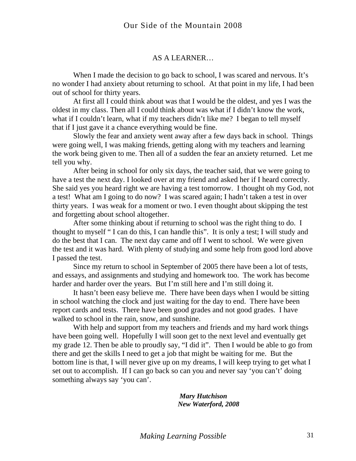#### AS A LEARNER…

<span id="page-34-0"></span>When I made the decision to go back to school, I was scared and nervous. It's no wonder I had anxiety about returning to school. At that point in my life, I had been out of school for thirty years.

At first all I could think about was that I would be the oldest, and yes I was the oldest in my class. Then all I could think about was what if I didn't know the work, what if I couldn't learn, what if my teachers didn't like me? I began to tell myself that if I just gave it a chance everything would be fine.

Slowly the fear and anxiety went away after a few days back in school. Things were going well, I was making friends, getting along with my teachers and learning the work being given to me. Then all of a sudden the fear an anxiety returned. Let me tell you why.

After being in school for only six days, the teacher said, that we were going to have a test the next day. I looked over at my friend and asked her if I heard correctly. She said yes you heard right we are having a test tomorrow. I thought oh my God, not a test! What am I going to do now? I was scared again; I hadn't taken a test in over thirty years. I was weak for a moment or two. I even thought about skipping the test and forgetting about school altogether.

After some thinking about if returning to school was the right thing to do. I thought to myself " I can do this, I can handle this". It is only a test; I will study and do the best that I can. The next day came and off I went to school. We were given the test and it was hard. With plenty of studying and some help from good lord above I passed the test.

Since my return to school in September of 2005 there have been a lot of tests, and essays, and assignments and studying and homework too. The work has become harder and harder over the years. But I'm still here and I'm still doing it.

It hasn't been easy believe me. There have been days when I would be sitting in school watching the clock and just waiting for the day to end. There have been report cards and tests. There have been good grades and not good grades. I have walked to school in the rain, snow, and sunshine.

With help and support from my teachers and friends and my hard work things have been going well. Hopefully I will soon get to the next level and eventually get my grade 12. Then be able to proudly say, "I did it". Then I would be able to go from there and get the skills I need to get a job that might be waiting for me. But the bottom line is that, I will never give up on my dreams, I will keep trying to get what I set out to accomplish. If I can go back so can you and never say 'you can't' doing something always say 'you can'.

> *Mary Hutchison New Waterford, 2008*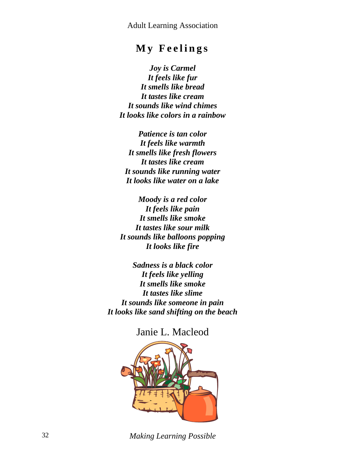# **My Feelings**

<span id="page-35-0"></span>*Joy is Carmel It feels like fur It smells like bread It tastes like cream It sounds like wind chimes It looks like colors in a rainbow* 

*Patience is tan color It feels like warmth It smells like fresh flowers It tastes like cream It sounds like running water It looks like water on a lake* 

*Moody is a red color It feels like pain It smells like smoke It tastes like sour milk It sounds like balloons popping It looks like fire* 

*Sadness is a black color It feels like yelling It smells like smoke It tastes like slime It sounds like someone in pain It looks like sand shifting on the beach*

Janie L. Macleod



32 *Making Learning Possible*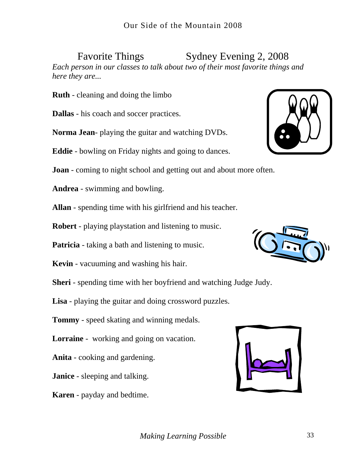Favorite Things Sydney Evening 2, 2008

<span id="page-36-0"></span>*Each person in our classes to talk about two of their most favorite things and here they are...* 

**Ruth** - cleaning and doing the limbo

**Dallas** - his coach and soccer practices.

**Norma Jean**- playing the guitar and watching DVDs.

**Eddie** - bowling on Friday nights and going to dances.

**Joan** - coming to night school and getting out and about more often.

**Andrea** - swimming and bowling.

**Allan** - spending time with his girlfriend and his teacher.

**Robert** - playing playstation and listening to music.

**Patricia** - taking a bath and listening to music.

**Kevin** - vacuuming and washing his hair.

**Sheri** - spending time with her boyfriend and watching Judge Judy.

**Lisa** - playing the guitar and doing crossword puzzles.

**Tommy** - speed skating and winning medals.

**Lorraine** - working and going on vacation.

**Anita** - cooking and gardening.

**Janice** - sleeping and talking.

**Karen** - payday and bedtime.





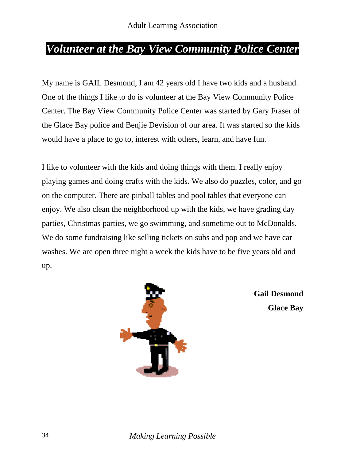# <span id="page-37-0"></span>*Volunteer at the Bay View Community Police Center*

My name is GAIL Desmond, I am 42 years old I have two kids and a husband. One of the things I like to do is volunteer at the Bay View Community Police Center. The Bay View Community Police Center was started by Gary Fraser of the Glace Bay police and Benjie Devision of our area. It was started so the kids would have a place to go to, interest with others, learn, and have fun.

I like to volunteer with the kids and doing things with them. I really enjoy playing games and doing crafts with the kids. We also do puzzles, color, and go on the computer. There are pinball tables and pool tables that everyone can enjoy. We also clean the neighborhood up with the kids, we have grading day parties, Christmas parties, we go swimming, and sometime out to McDonalds. We do some fundraising like selling tickets on subs and pop and we have car washes. We are open three night a week the kids have to be five years old and up.



**Gail Desmond Glace Bay**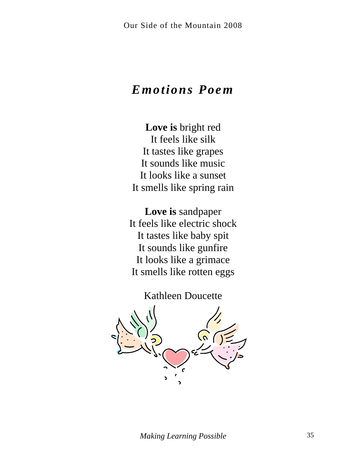# <span id="page-38-0"></span>*Emotions Poem*

**Love is** bright red It feels like silk It tastes like grapes It sounds like music It looks like a sunset It smells like spring rain

**Love is** sandpaper It feels like electric shock It tastes like baby spit It sounds like gunfire It looks like a grimace It smells like rotten eggs

Kathleen Doucette

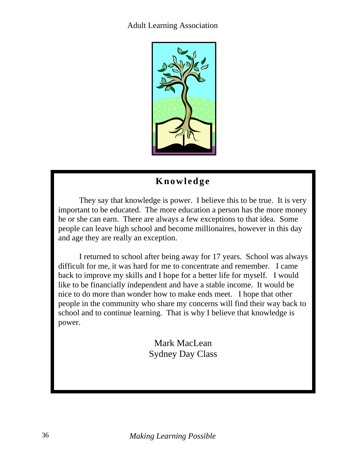#### <span id="page-39-0"></span>Adult Learning Association



#### **Knowledge**

They say that knowledge is power. I believe this to be true. It is very important to be educated. The more education a person has the more money he or she can earn. There are always a few exceptions to that idea. Some people can leave high school and become millionaires, however in this day and age they are really an exception.

I returned to school after being away for 17 years. School was always difficult for me, it was hard for me to concentrate and remember. I came back to improve my skills and I hope for a better life for myself. I would like to be financially independent and have a stable income. It would be nice to do more than wonder how to make ends meet. I hope that other people in the community who share my concerns will find their way back to school and to continue learning. That is why I believe that knowledge is power.

> Mark MacLean Sydney Day Class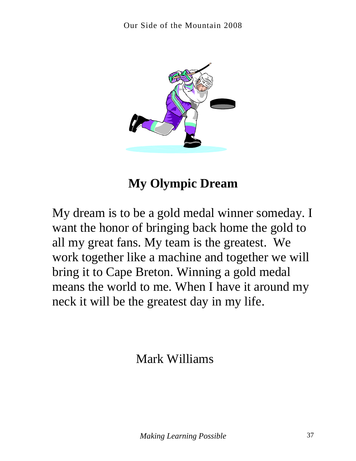<span id="page-40-0"></span>

# **My Olympic Dream**

My dream is to be a gold medal winner someday. I want the honor of bringing back home the gold to all my great fans. My team is the greatest. We work together like a machine and together we will bring it to Cape Breton. Winning a gold medal means the world to me. When I have it around my neck it will be the greatest day in my life.

Mark Williams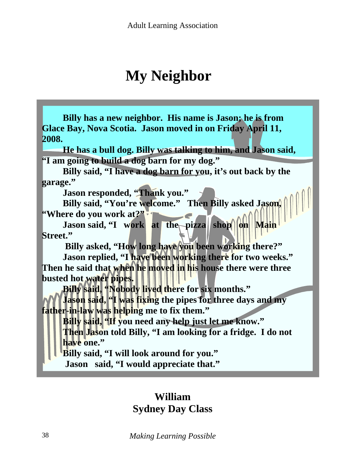# **My Neighbor**

<span id="page-41-0"></span>**Billy has a new neighbor. His name is Jason; he is from Glace Bay, Nova Scotia. Jason moved in on Friday April 11, 2008.** 

**He has a bull dog. Billy was talking to him, and Jason said, "I am going to build a dog barn for my dog."** 

**Billy said, "I have a dog barn for you, it's out back by the garage."** 

 **Jason responded, "Thank you."** 

**Billy said, "You're welcome." Then Billy asked Jason, "Where do you work at?"** 

Jason said, "I work at the pizza shop on Main **Street."** 

Billy asked, "How long have you been working there?"

 **Jason replied, "I have been working there for two weeks." Then he said that when he moved in his house there were three busted hot water pipes.** 

 **Billy said, "Nobody lived there for six months."** 

**Jason said, "I was fixing the pipes for three days and my father-in-law was helping me to fix them."** 

Billy said, 'If you need any help just let me know." **Then Jason told Billy, "I am looking for a fridge. I do not have one."** 

**Billy said, "I will look around for you."** 

 **Jason said, "I would appreciate that."**

# **William Sydney Day Class**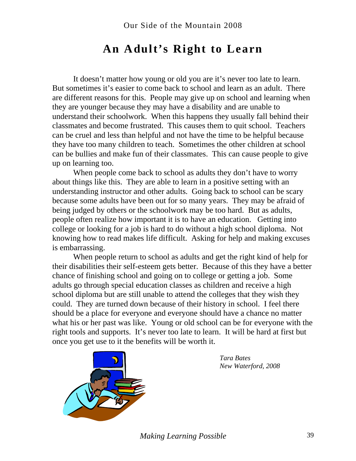# **An Adult's Right to Learn**

<span id="page-42-0"></span>It doesn't matter how young or old you are it's never too late to learn. But sometimes it's easier to come back to school and learn as an adult. There are different reasons for this. People may give up on school and learning when they are younger because they may have a disability and are unable to understand their schoolwork. When this happens they usually fall behind their classmates and become frustrated. This causes them to quit school. Teachers can be cruel and less than helpful and not have the time to be helpful because they have too many children to teach. Sometimes the other children at school can be bullies and make fun of their classmates. This can cause people to give up on learning too.

When people come back to school as adults they don't have to worry about things like this. They are able to learn in a positive setting with an understanding instructor and other adults. Going back to school can be scary because some adults have been out for so many years. They may be afraid of being judged by others or the schoolwork may be too hard. But as adults, people often realize how important it is to have an education. Getting into college or looking for a job is hard to do without a high school diploma. Not knowing how to read makes life difficult. Asking for help and making excuses is embarrassing.

When people return to school as adults and get the right kind of help for their disabilities their self-esteem gets better. Because of this they have a better chance of finishing school and going on to college or getting a job. Some adults go through special education classes as children and receive a high school diploma but are still unable to attend the colleges that they wish they could. They are turned down because of their history in school. I feel there should be a place for everyone and everyone should have a chance no matter what his or her past was like. Young or old school can be for everyone with the right tools and supports. It's never too late to learn. It will be hard at first but once you get use to it the benefits will be worth it.



*Tara Bates New Waterford, 2008*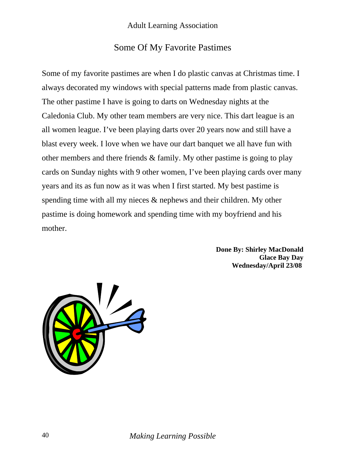#### Some Of My Favorite Pastimes

<span id="page-43-0"></span>Some of my favorite pastimes are when I do plastic canvas at Christmas time. I always decorated my windows with special patterns made from plastic canvas. The other pastime I have is going to darts on Wednesday nights at the Caledonia Club. My other team members are very nice. This dart league is an all women league. I've been playing darts over 20 years now and still have a blast every week. I love when we have our dart banquet we all have fun with other members and there friends & family. My other pastime is going to play cards on Sunday nights with 9 other women, I've been playing cards over many years and its as fun now as it was when I first started. My best pastime is spending time with all my nieces & nephews and their children. My other pastime is doing homework and spending time with my boyfriend and his mother.

> **Done By: Shirley MacDonald Glace Bay Day Wednesday/April 23/08**